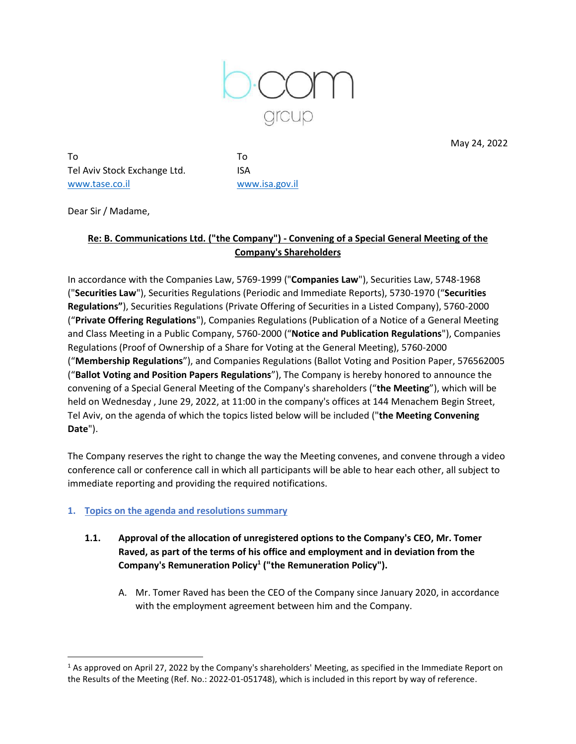

May 24, 2022

To To Tel Aviv Stock Exchange Ltd. ISA [www.tase.co.il](http://www.tase.co.il/) [www.isa.gov.il](http://www.isa.gov.il/)

Dear Sir / Madame,

# **Re: B. Communications Ltd. ("the Company") - Convening of a Special General Meeting of the Company's Shareholders**

In accordance with the Companies Law, 5769-1999 ("**Companies Law**"), Securities Law, 5748-1968 ("**Securities Law**"), Securities Regulations (Periodic and Immediate Reports), 5730-1970 ("**Securities Regulations"**), Securities Regulations (Private Offering of Securities in a Listed Company), 5760-2000 ("**Private Offering Regulations**"), Companies Regulations (Publication of a Notice of a General Meeting and Class Meeting in a Public Company, 5760-2000 ("**Notice and Publication Regulations**"), Companies Regulations (Proof of Ownership of a Share for Voting at the General Meeting), 5760-2000 ("**Membership Regulations**"), and Companies Regulations (Ballot Voting and Position Paper, 576562005 ("**Ballot Voting and Position Papers Regulations**"), The Company is hereby honored to announce the convening of a Special General Meeting of the Company's shareholders ("**the Meeting**"), which will be held on Wednesday , June 29, 2022, at 11:00 in the company's offices at 144 Menachem Begin Street, Tel Aviv, on the agenda of which the topics listed below will be included ("**the Meeting Convening Date**").

The Company reserves the right to change the way the Meeting convenes, and convene through a video conference call or conference call in which all participants will be able to hear each other, all subject to immediate reporting and providing the required notifications.

## **1. Topics on the agenda and resolutions summary**

- **1.1. Approval of the allocation of unregistered options to the Company's CEO, Mr. Tomer Raved, as part of the terms of his office and employment and in deviation from the Company's Remuneration Policy<sup>1</sup> ("the Remuneration Policy").**
	- A. Mr. Tomer Raved has been the CEO of the Company since January 2020, in accordance with the employment agreement between him and the Company.

 $1$  As approved on April 27, 2022 by the Company's shareholders' Meeting, as specified in the Immediate Report on the Results of the Meeting (Ref. No.: 2022-01-051748), which is included in this report by way of reference.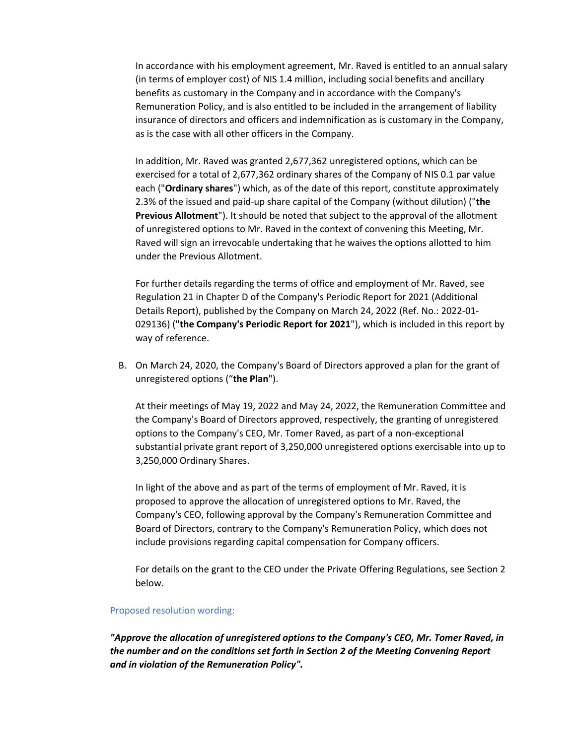In accordance with his employment agreement, Mr. Raved is entitled to an annual salary (in terms of employer cost) of NIS 1.4 million, including social benefits and ancillary benefits as customary in the Company and in accordance with the Company's Remuneration Policy, and is also entitled to be included in the arrangement of liability insurance of directors and officers and indemnification as is customary in the Company, as is the case with all other officers in the Company.

In addition, Mr. Raved was granted 2,677,362 unregistered options, which can be exercised for a total of 2,677,362 ordinary shares of the Company of NIS 0.1 par value each ("**Ordinary shares**") which, as of the date of this report, constitute approximately 2.3% of the issued and paid-up share capital of the Company (without dilution) ("**the Previous Allotment**"). It should be noted that subject to the approval of the allotment of unregistered options to Mr. Raved in the context of convening this Meeting, Mr. Raved will sign an irrevocable undertaking that he waives the options allotted to him under the Previous Allotment.

For further details regarding the terms of office and employment of Mr. Raved, see Regulation 21 in Chapter D of the Company's Periodic Report for 2021 (Additional Details Report), published by the Company on March 24, 2022 (Ref. No.: 2022-01- 029136) ("**the Company's Periodic Report for 2021**"), which is included in this report by way of reference.

B. On March 24, 2020, the Company's Board of Directors approved a plan for the grant of unregistered options ("**the Plan**").

At their meetings of May 19, 2022 and May 24, 2022, the Remuneration Committee and the Company's Board of Directors approved, respectively, the granting of unregistered options to the Company's CEO, Mr. Tomer Raved, as part of a non-exceptional substantial private grant report of 3,250,000 unregistered options exercisable into up to 3,250,000 Ordinary Shares.

In light of the above and as part of the terms of employment of Mr. Raved, it is proposed to approve the allocation of unregistered options to Mr. Raved, the Company's CEO, following approval by the Company's Remuneration Committee and Board of Directors, contrary to the Company's Remuneration Policy, which does not include provisions regarding capital compensation for Company officers.

For details on the grant to the CEO under the Private Offering Regulations, see Section 2 below.

#### Proposed resolution wording:

*"Approve the allocation of unregistered options to the Company's CEO, Mr. Tomer Raved, in the number and on the conditions set forth in Section 2 of the Meeting Convening Report and in violation of the Remuneration Policy".*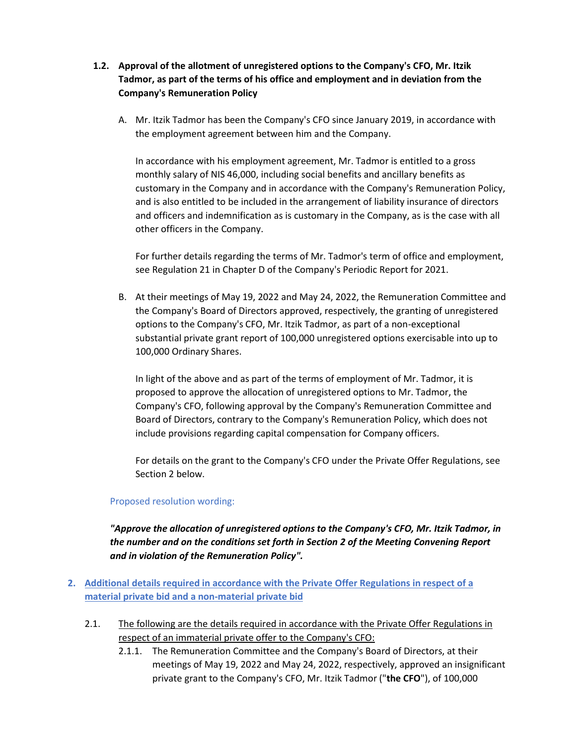- **1.2. Approval of the allotment of unregistered options to the Company's CFO, Mr. Itzik Tadmor, as part of the terms of his office and employment and in deviation from the Company's Remuneration Policy**
	- A. Mr. Itzik Tadmor has been the Company's CFO since January 2019, in accordance with the employment agreement between him and the Company.

In accordance with his employment agreement, Mr. Tadmor is entitled to a gross monthly salary of NIS 46,000, including social benefits and ancillary benefits as customary in the Company and in accordance with the Company's Remuneration Policy, and is also entitled to be included in the arrangement of liability insurance of directors and officers and indemnification as is customary in the Company, as is the case with all other officers in the Company.

For further details regarding the terms of Mr. Tadmor's term of office and employment, see Regulation 21 in Chapter D of the Company's Periodic Report for 2021.

B. At their meetings of May 19, 2022 and May 24, 2022, the Remuneration Committee and the Company's Board of Directors approved, respectively, the granting of unregistered options to the Company's CFO, Mr. Itzik Tadmor, as part of a non-exceptional substantial private grant report of 100,000 unregistered options exercisable into up to 100,000 Ordinary Shares.

In light of the above and as part of the terms of employment of Mr. Tadmor, it is proposed to approve the allocation of unregistered options to Mr. Tadmor, the Company's CFO, following approval by the Company's Remuneration Committee and Board of Directors, contrary to the Company's Remuneration Policy, which does not include provisions regarding capital compensation for Company officers.

For details on the grant to the Company's CFO under the Private Offer Regulations, see Section 2 below.

#### Proposed resolution wording:

*"Approve the allocation of unregistered options to the Company's CFO, Mr. Itzik Tadmor, in the number and on the conditions set forth in Section 2 of the Meeting Convening Report and in violation of the Remuneration Policy".*

- **2. Additional details required in accordance with the Private Offer Regulations in respect of a material private bid and a non-material private bid**
	- 2.1. The following are the details required in accordance with the Private Offer Regulations in respect of an immaterial private offer to the Company's CFO:
		- 2.1.1. The Remuneration Committee and the Company's Board of Directors, at their meetings of May 19, 2022 and May 24, 2022, respectively, approved an insignificant private grant to the Company's CFO, Mr. Itzik Tadmor ("**the CFO**"), of 100,000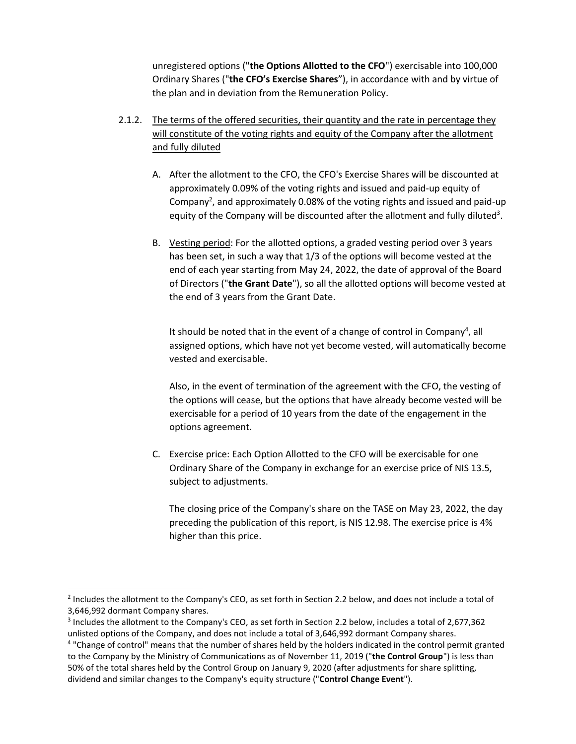unregistered options ("**the Options Allotted to the CFO**") exercisable into 100,000 Ordinary Shares ("**the CFO's Exercise Shares**"), in accordance with and by virtue of the plan and in deviation from the Remuneration Policy.

- 2.1.2. The terms of the offered securities, their quantity and the rate in percentage they will constitute of the voting rights and equity of the Company after the allotment and fully diluted
	- A. After the allotment to the CFO, the CFO's Exercise Shares will be discounted at approximately 0.09% of the voting rights and issued and paid-up equity of Company<sup>2</sup>, and approximately 0.08% of the voting rights and issued and paid-up equity of the Company will be discounted after the allotment and fully diluted<sup>3</sup>.
	- B. Vesting period: For the allotted options, a graded vesting period over 3 years has been set, in such a way that 1/3 of the options will become vested at the end of each year starting from May 24, 2022, the date of approval of the Board of Directors ("**the Grant Date**"), so all the allotted options will become vested at the end of 3 years from the Grant Date.

It should be noted that in the event of a change of control in Company<sup>4</sup>, all assigned options, which have not yet become vested, will automatically become vested and exercisable.

Also, in the event of termination of the agreement with the CFO, the vesting of the options will cease, but the options that have already become vested will be exercisable for a period of 10 years from the date of the engagement in the options agreement.

C. Exercise price: Each Option Allotted to the CFO will be exercisable for one Ordinary Share of the Company in exchange for an exercise price of NIS 13.5, subject to adjustments.

The closing price of the Company's share on the TASE on May 23, 2022, the day preceding the publication of this report, is NIS 12.98. The exercise price is 4% higher than this price.

<sup>&</sup>lt;sup>2</sup> Includes the allotment to the Company's CEO, as set forth in Section 2.2 below, and does not include a total of 3,646,992 dormant Company shares.

<sup>3</sup> Includes the allotment to the Company's CEO, as set forth in Section 2.2 below, includes a total of 2,677,362 unlisted options of the Company, and does not include a total of 3,646,992 dormant Company shares.

<sup>&</sup>lt;sup>4</sup> "Change of control" means that the number of shares held by the holders indicated in the control permit granted to the Company by the Ministry of Communications as of November 11, 2019 ("**the Control Group**") is less than 50% of the total shares held by the Control Group on January 9, 2020 (after adjustments for share splitting, dividend and similar changes to the Company's equity structure ("**Control Change Event**").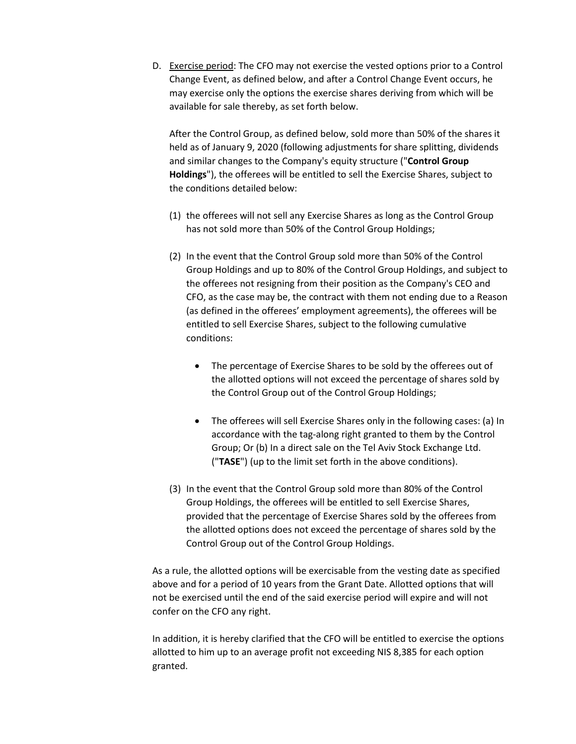D. Exercise period: The CFO may not exercise the vested options prior to a Control Change Event, as defined below, and after a Control Change Event occurs, he may exercise only the options the exercise shares deriving from which will be available for sale thereby, as set forth below.

After the Control Group, as defined below, sold more than 50% of the shares it held as of January 9, 2020 (following adjustments for share splitting, dividends and similar changes to the Company's equity structure ("**Control Group Holdings**"), the offerees will be entitled to sell the Exercise Shares, subject to the conditions detailed below:

- (1) the offerees will not sell any Exercise Shares as long as the Control Group has not sold more than 50% of the Control Group Holdings;
- (2) In the event that the Control Group sold more than 50% of the Control Group Holdings and up to 80% of the Control Group Holdings, and subject to the offerees not resigning from their position as the Company's CEO and CFO, as the case may be, the contract with them not ending due to a Reason (as defined in the offerees' employment agreements), the offerees will be entitled to sell Exercise Shares, subject to the following cumulative conditions:
	- The percentage of Exercise Shares to be sold by the offerees out of the allotted options will not exceed the percentage of shares sold by the Control Group out of the Control Group Holdings;
	- The offerees will sell Exercise Shares only in the following cases: (a) In accordance with the tag-along right granted to them by the Control Group; Or (b) In a direct sale on the Tel Aviv Stock Exchange Ltd. ("**TASE**") (up to the limit set forth in the above conditions).
- (3) In the event that the Control Group sold more than 80% of the Control Group Holdings, the offerees will be entitled to sell Exercise Shares, provided that the percentage of Exercise Shares sold by the offerees from the allotted options does not exceed the percentage of shares sold by the Control Group out of the Control Group Holdings.

As a rule, the allotted options will be exercisable from the vesting date as specified above and for a period of 10 years from the Grant Date. Allotted options that will not be exercised until the end of the said exercise period will expire and will not confer on the CFO any right.

In addition, it is hereby clarified that the CFO will be entitled to exercise the options allotted to him up to an average profit not exceeding NIS 8,385 for each option granted.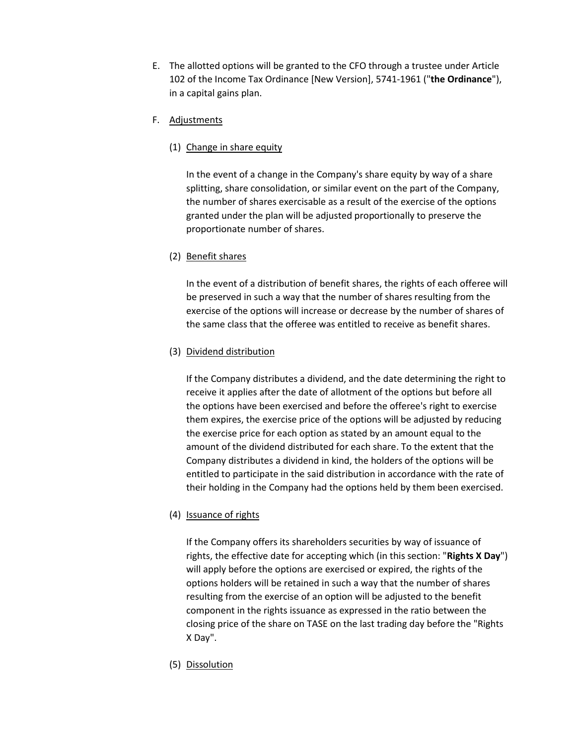- E. The allotted options will be granted to the CFO through a trustee under Article 102 of the Income Tax Ordinance [New Version], 5741-1961 ("**the Ordinance**"), in a capital gains plan.
- F. Adjustments
	- (1) Change in share equity

In the event of a change in the Company's share equity by way of a share splitting, share consolidation, or similar event on the part of the Company, the number of shares exercisable as a result of the exercise of the options granted under the plan will be adjusted proportionally to preserve the proportionate number of shares.

(2) Benefit shares

In the event of a distribution of benefit shares, the rights of each offeree will be preserved in such a way that the number of shares resulting from the exercise of the options will increase or decrease by the number of shares of the same class that the offeree was entitled to receive as benefit shares.

(3) Dividend distribution

If the Company distributes a dividend, and the date determining the right to receive it applies after the date of allotment of the options but before all the options have been exercised and before the offeree's right to exercise them expires, the exercise price of the options will be adjusted by reducing the exercise price for each option as stated by an amount equal to the amount of the dividend distributed for each share. To the extent that the Company distributes a dividend in kind, the holders of the options will be entitled to participate in the said distribution in accordance with the rate of their holding in the Company had the options held by them been exercised.

(4) Issuance of rights

If the Company offers its shareholders securities by way of issuance of rights, the effective date for accepting which (in this section: "**Rights X Day**") will apply before the options are exercised or expired, the rights of the options holders will be retained in such a way that the number of shares resulting from the exercise of an option will be adjusted to the benefit component in the rights issuance as expressed in the ratio between the closing price of the share on TASE on the last trading day before the "Rights X Day".

(5) Dissolution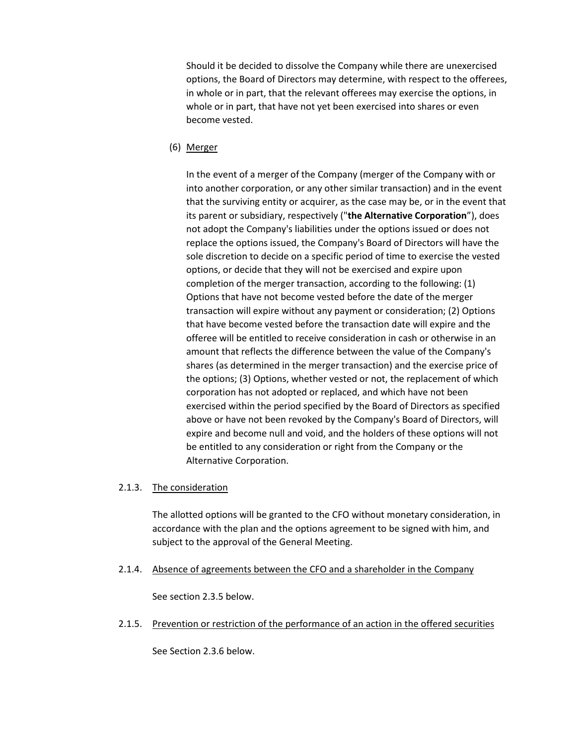Should it be decided to dissolve the Company while there are unexercised options, the Board of Directors may determine, with respect to the offerees, in whole or in part, that the relevant offerees may exercise the options, in whole or in part, that have not yet been exercised into shares or even become vested.

(6) Merger

In the event of a merger of the Company (merger of the Company with or into another corporation, or any other similar transaction) and in the event that the surviving entity or acquirer, as the case may be, or in the event that its parent or subsidiary, respectively ("**the Alternative Corporation**"), does not adopt the Company's liabilities under the options issued or does not replace the options issued, the Company's Board of Directors will have the sole discretion to decide on a specific period of time to exercise the vested options, or decide that they will not be exercised and expire upon completion of the merger transaction, according to the following: (1) Options that have not become vested before the date of the merger transaction will expire without any payment or consideration; (2) Options that have become vested before the transaction date will expire and the offeree will be entitled to receive consideration in cash or otherwise in an amount that reflects the difference between the value of the Company's shares (as determined in the merger transaction) and the exercise price of the options; (3) Options, whether vested or not, the replacement of which corporation has not adopted or replaced, and which have not been exercised within the period specified by the Board of Directors as specified above or have not been revoked by the Company's Board of Directors, will expire and become null and void, and the holders of these options will not be entitled to any consideration or right from the Company or the Alternative Corporation.

#### 2.1.3. The consideration

The allotted options will be granted to the CFO without monetary consideration, in accordance with the plan and the options agreement to be signed with him, and subject to the approval of the General Meeting.

2.1.4. Absence of agreements between the CFO and a shareholder in the Company

See section 2.3.5 below.

2.1.5. Prevention or restriction of the performance of an action in the offered securities

See Section 2.3.6 below.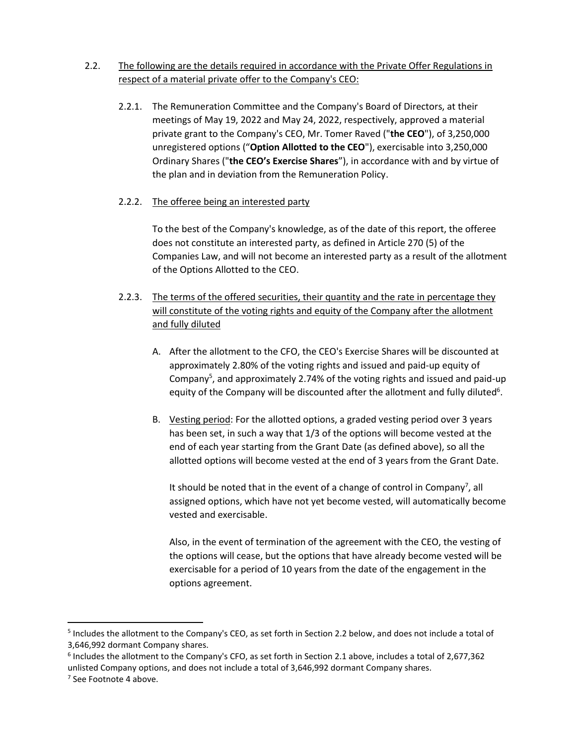- 2.2. The following are the details required in accordance with the Private Offer Regulations in respect of a material private offer to the Company's CEO:
	- 2.2.1. The Remuneration Committee and the Company's Board of Directors, at their meetings of May 19, 2022 and May 24, 2022, respectively, approved a material private grant to the Company's CEO, Mr. Tomer Raved ("**the CEO**"), of 3,250,000 unregistered options ("**Option Allotted to the CEO**"), exercisable into 3,250,000 Ordinary Shares ("**the CEO's Exercise Shares**"), in accordance with and by virtue of the plan and in deviation from the Remuneration Policy.
	- 2.2.2. The offeree being an interested party

To the best of the Company's knowledge, as of the date of this report, the offeree does not constitute an interested party, as defined in Article 270 (5) of the Companies Law, and will not become an interested party as a result of the allotment of the Options Allotted to the CEO.

- 2.2.3. The terms of the offered securities, their quantity and the rate in percentage they will constitute of the voting rights and equity of the Company after the allotment and fully diluted
	- A. After the allotment to the CFO, the CEO's Exercise Shares will be discounted at approximately 2.80% of the voting rights and issued and paid-up equity of Company<sup>5</sup>, and approximately 2.74% of the voting rights and issued and paid-up equity of the Company will be discounted after the allotment and fully diluted<sup>6</sup>.
	- B. Vesting period: For the allotted options, a graded vesting period over 3 years has been set, in such a way that 1/3 of the options will become vested at the end of each year starting from the Grant Date (as defined above), so all the allotted options will become vested at the end of 3 years from the Grant Date.

It should be noted that in the event of a change of control in Company<sup>7</sup>, all assigned options, which have not yet become vested, will automatically become vested and exercisable.

Also, in the event of termination of the agreement with the CEO, the vesting of the options will cease, but the options that have already become vested will be exercisable for a period of 10 years from the date of the engagement in the options agreement.

<sup>&</sup>lt;sup>5</sup> Includes the allotment to the Company's CEO, as set forth in Section 2.2 below, and does not include a total of 3,646,992 dormant Company shares.

<sup>&</sup>lt;sup>6</sup> Includes the allotment to the Company's CFO, as set forth in Section 2.1 above, includes a total of 2,677,362 unlisted Company options, and does not include a total of 3,646,992 dormant Company shares.

<sup>&</sup>lt;sup>7</sup> See Footnote 4 above.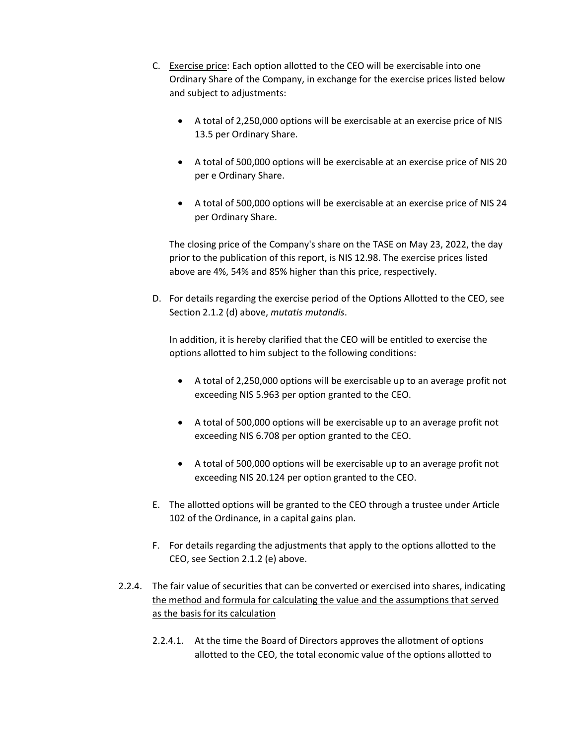- C. Exercise price: Each option allotted to the CEO will be exercisable into one Ordinary Share of the Company, in exchange for the exercise prices listed below and subject to adjustments:
	- A total of 2,250,000 options will be exercisable at an exercise price of NIS 13.5 per Ordinary Share.
	- A total of 500,000 options will be exercisable at an exercise price of NIS 20 per e Ordinary Share.
	- A total of 500,000 options will be exercisable at an exercise price of NIS 24 per Ordinary Share.

The closing price of the Company's share on the TASE on May 23, 2022, the day prior to the publication of this report, is NIS 12.98. The exercise prices listed above are 4%, 54% and 85% higher than this price, respectively.

D. For details regarding the exercise period of the Options Allotted to the CEO, see Section 2.1.2 (d) above, *mutatis mutandis*.

In addition, it is hereby clarified that the CEO will be entitled to exercise the options allotted to him subject to the following conditions:

- A total of 2,250,000 options will be exercisable up to an average profit not exceeding NIS 5.963 per option granted to the CEO.
- A total of 500,000 options will be exercisable up to an average profit not exceeding NIS 6.708 per option granted to the CEO.
- A total of 500,000 options will be exercisable up to an average profit not exceeding NIS 20.124 per option granted to the CEO.
- E. The allotted options will be granted to the CEO through a trustee under Article 102 of the Ordinance, in a capital gains plan.
- F. For details regarding the adjustments that apply to the options allotted to the CEO, see Section 2.1.2 (e) above.
- 2.2.4. The fair value of securities that can be converted or exercised into shares, indicating the method and formula for calculating the value and the assumptions that served as the basis for its calculation
	- 2.2.4.1. At the time the Board of Directors approves the allotment of options allotted to the CEO, the total economic value of the options allotted to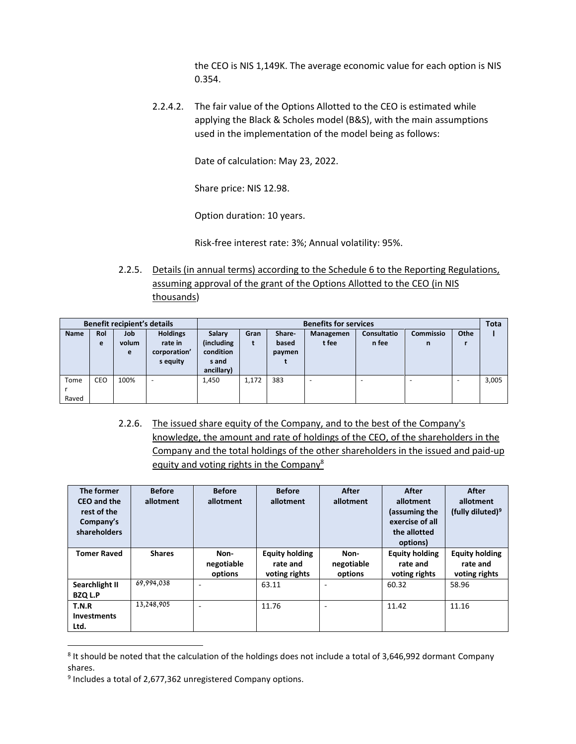the CEO is NIS 1,149K. The average economic value for each option is NIS 0.354.

2.2.4.2. The fair value of the Options Allotted to the CEO is estimated while applying the Black & Scholes model (B&S), with the main assumptions used in the implementation of the model being as follows:

Date of calculation: May 23, 2022.

Share price: NIS 12.98.

Option duration: 10 years.

Risk-free interest rate: 3%; Annual volatility: 95%.

2.2.5. Details (in annual terms) according to the Schedule 6 to the Reporting Regulations, assuming approval of the grant of the Options Allotted to the CEO (in NIS thousands)

| <b>Benefit recipient's details</b> |     |       | <b>Benefits for services</b> |            |                                                                        |       |       |       | <b>Tota</b> |   |       |
|------------------------------------|-----|-------|------------------------------|------------|------------------------------------------------------------------------|-------|-------|-------|-------------|---|-------|
| <b>Name</b>                        | Rol | Job   | <b>Holdings</b>              | Salary     | Othe<br>Commissio<br><b>Consultatio</b><br>Share-<br>Gran<br>Managemen |       |       |       |             |   |       |
|                                    | e   | volum | rate in                      | (including | t                                                                      | based | t fee | n fee | n           |   |       |
|                                    |     | e     | corporation'                 |            | condition<br>paymen                                                    |       |       |       |             |   |       |
|                                    |     |       | s equity                     | s and      |                                                                        |       |       |       |             |   |       |
|                                    |     |       |                              | ancillary) |                                                                        |       |       |       |             |   |       |
| Tome                               | CEO | 100%  | -                            | 1,450      | 1.172                                                                  | 383   |       | ۰     | ۰           | ۰ | 3,005 |
|                                    |     |       |                              |            |                                                                        |       |       |       |             |   |       |
| Raved                              |     |       |                              |            |                                                                        |       |       |       |             |   |       |

2.2.6. The issued share equity of the Company, and to the best of the Company's knowledge, the amount and rate of holdings of the CEO, of the shareholders in the Company and the total holdings of the other shareholders in the issued and paid-up equity and voting rights in the Company<sup>8</sup>

| The former<br>CEO and the<br>rest of the<br>Company's<br>shareholders | <b>Before</b><br>allotment | <b>Before</b><br>allotment    | <b>Before</b><br>allotment                         | After<br>allotment            | After<br>allotment<br>(assuming the<br>exercise of all<br>the allotted<br>options) | After<br>allotment<br>(fully diluted) <sup>9</sup> |
|-----------------------------------------------------------------------|----------------------------|-------------------------------|----------------------------------------------------|-------------------------------|------------------------------------------------------------------------------------|----------------------------------------------------|
| <b>Tomer Raved</b>                                                    | <b>Shares</b>              | Non-<br>negotiable<br>options | <b>Equity holding</b><br>rate and<br>voting rights | Non-<br>negotiable<br>options | <b>Equity holding</b><br>rate and<br>voting rights                                 | <b>Equity holding</b><br>rate and<br>voting rights |
| Searchlight II<br><b>BZQ L.P</b>                                      | 69,994,038                 | ٠                             | 63.11                                              |                               | 60.32                                                                              | 58.96                                              |
| T.N.R<br><b>Investments</b><br>Ltd.                                   | 13,248,905                 | ٠                             | 11.76                                              |                               | 11.42                                                                              | 11.16                                              |

<sup>&</sup>lt;sup>8</sup> It should be noted that the calculation of the holdings does not include a total of 3,646,992 dormant Company shares.

<sup>&</sup>lt;sup>9</sup> Includes a total of 2,677,362 unregistered Company options.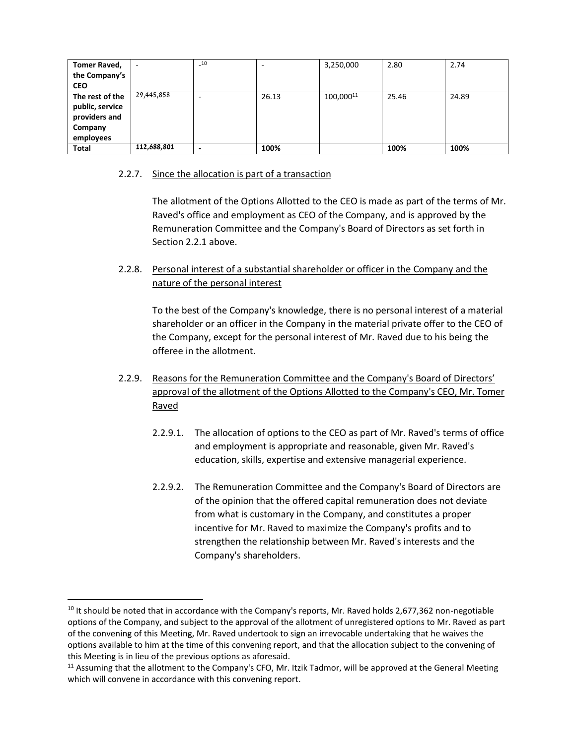| <b>Tomer Raved,</b> |             | $-10$                    |       | 3,250,000 | 2.80  | 2.74  |
|---------------------|-------------|--------------------------|-------|-----------|-------|-------|
| the Company's       |             |                          |       |           |       |       |
| <b>CEO</b>          |             |                          |       |           |       |       |
| The rest of the     | 29,445,858  | ٠                        | 26.13 | 100,00011 | 25.46 | 24.89 |
| public, service     |             |                          |       |           |       |       |
| providers and       |             |                          |       |           |       |       |
| Company             |             |                          |       |           |       |       |
| employees           |             |                          |       |           |       |       |
| <b>Total</b>        | 112,688,801 | $\overline{\phantom{0}}$ | 100%  |           | 100%  | 100%  |

### 2.2.7. Since the allocation is part of a transaction

The allotment of the Options Allotted to the CEO is made as part of the terms of Mr. Raved's office and employment as CEO of the Company, and is approved by the Remuneration Committee and the Company's Board of Directors as set forth in Section 2.2.1 above.

2.2.8. Personal interest of a substantial shareholder or officer in the Company and the nature of the personal interest

To the best of the Company's knowledge, there is no personal interest of a material shareholder or an officer in the Company in the material private offer to the CEO of the Company, except for the personal interest of Mr. Raved due to his being the offeree in the allotment.

- 2.2.9. Reasons for the Remuneration Committee and the Company's Board of Directors' approval of the allotment of the Options Allotted to the Company's CEO, Mr. Tomer Raved
	- 2.2.9.1. The allocation of options to the CEO as part of Mr. Raved's terms of office and employment is appropriate and reasonable, given Mr. Raved's education, skills, expertise and extensive managerial experience.
	- 2.2.9.2. The Remuneration Committee and the Company's Board of Directors are of the opinion that the offered capital remuneration does not deviate from what is customary in the Company, and constitutes a proper incentive for Mr. Raved to maximize the Company's profits and to strengthen the relationship between Mr. Raved's interests and the Company's shareholders.

 $10$  It should be noted that in accordance with the Company's reports, Mr. Raved holds 2,677,362 non-negotiable options of the Company, and subject to the approval of the allotment of unregistered options to Mr. Raved as part of the convening of this Meeting, Mr. Raved undertook to sign an irrevocable undertaking that he waives the options available to him at the time of this convening report, and that the allocation subject to the convening of this Meeting is in lieu of the previous options as aforesaid.

<sup>&</sup>lt;sup>11</sup> Assuming that the allotment to the Company's CFO, Mr. Itzik Tadmor, will be approved at the General Meeting which will convene in accordance with this convening report.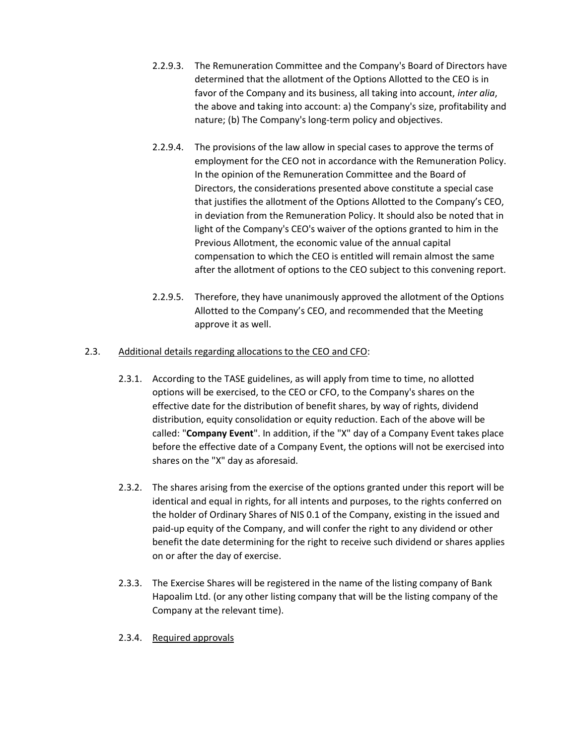- 2.2.9.3. The Remuneration Committee and the Company's Board of Directors have determined that the allotment of the Options Allotted to the CEO is in favor of the Company and its business, all taking into account, *inter alia*, the above and taking into account: a) the Company's size, profitability and nature; (b) The Company's long-term policy and objectives.
- 2.2.9.4. The provisions of the law allow in special cases to approve the terms of employment for the CEO not in accordance with the Remuneration Policy. In the opinion of the Remuneration Committee and the Board of Directors, the considerations presented above constitute a special case that justifies the allotment of the Options Allotted to the Company's CEO, in deviation from the Remuneration Policy. It should also be noted that in light of the Company's CEO's waiver of the options granted to him in the Previous Allotment, the economic value of the annual capital compensation to which the CEO is entitled will remain almost the same after the allotment of options to the CEO subject to this convening report.
- 2.2.9.5. Therefore, they have unanimously approved the allotment of the Options Allotted to the Company's CEO, and recommended that the Meeting approve it as well.

## 2.3. Additional details regarding allocations to the CEO and CFO:

- 2.3.1. According to the TASE guidelines, as will apply from time to time, no allotted options will be exercised, to the CEO or CFO, to the Company's shares on the effective date for the distribution of benefit shares, by way of rights, dividend distribution, equity consolidation or equity reduction. Each of the above will be called: "**Company Event**". In addition, if the "X" day of a Company Event takes place before the effective date of a Company Event, the options will not be exercised into shares on the "X" day as aforesaid.
- 2.3.2. The shares arising from the exercise of the options granted under this report will be identical and equal in rights, for all intents and purposes, to the rights conferred on the holder of Ordinary Shares of NIS 0.1 of the Company, existing in the issued and paid-up equity of the Company, and will confer the right to any dividend or other benefit the date determining for the right to receive such dividend or shares applies on or after the day of exercise.
- 2.3.3. The Exercise Shares will be registered in the name of the listing company of Bank Hapoalim Ltd. (or any other listing company that will be the listing company of the Company at the relevant time).
- 2.3.4. Required approvals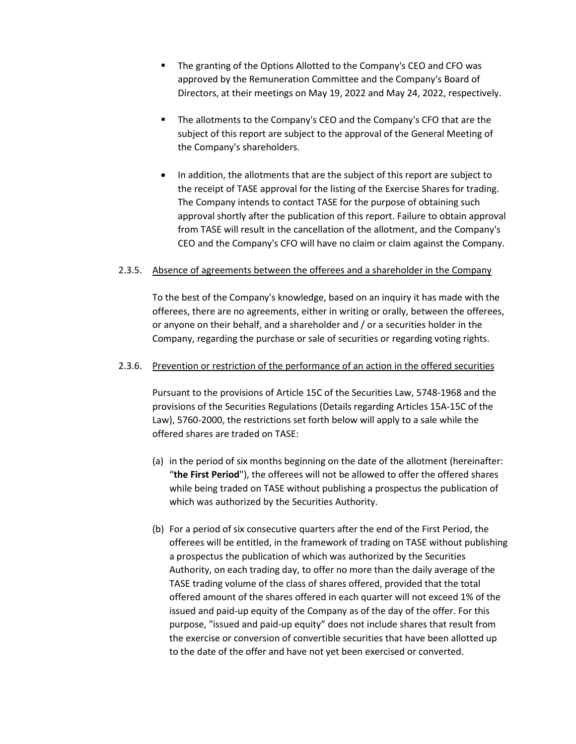- The granting of the Options Allotted to the Company's CEO and CFO was approved by the Remuneration Committee and the Company's Board of Directors, at their meetings on May 19, 2022 and May 24, 2022, respectively.
- **•** The allotments to the Company's CEO and the Company's CFO that are the subject of this report are subject to the approval of the General Meeting of the Company's shareholders.
- In addition, the allotments that are the subject of this report are subject to the receipt of TASE approval for the listing of the Exercise Shares for trading. The Company intends to contact TASE for the purpose of obtaining such approval shortly after the publication of this report. Failure to obtain approval from TASE will result in the cancellation of the allotment, and the Company's CEO and the Company's CFO will have no claim or claim against the Company.

#### 2.3.5. Absence of agreements between the offerees and a shareholder in the Company

To the best of the Company's knowledge, based on an inquiry it has made with the offerees, there are no agreements, either in writing or orally, between the offerees, or anyone on their behalf, and a shareholder and / or a securities holder in the Company, regarding the purchase or sale of securities or regarding voting rights.

#### 2.3.6. Prevention or restriction of the performance of an action in the offered securities

Pursuant to the provisions of Article 15C of the Securities Law, 5748-1968 and the provisions of the Securities Regulations (Details regarding Articles 15A-15C of the Law), 5760-2000, the restrictions set forth below will apply to a sale while the offered shares are traded on TASE:

- (a) in the period of six months beginning on the date of the allotment (hereinafter: "**the First Period**"), the offerees will not be allowed to offer the offered shares while being traded on TASE without publishing a prospectus the publication of which was authorized by the Securities Authority.
- (b) For a period of six consecutive quarters after the end of the First Period, the offerees will be entitled, in the framework of trading on TASE without publishing a prospectus the publication of which was authorized by the Securities Authority, on each trading day, to offer no more than the daily average of the TASE trading volume of the class of shares offered, provided that the total offered amount of the shares offered in each quarter will not exceed 1% of the issued and paid-up equity of the Company as of the day of the offer. For this purpose, "issued and paid-up equity" does not include shares that result from the exercise or conversion of convertible securities that have been allotted up to the date of the offer and have not yet been exercised or converted.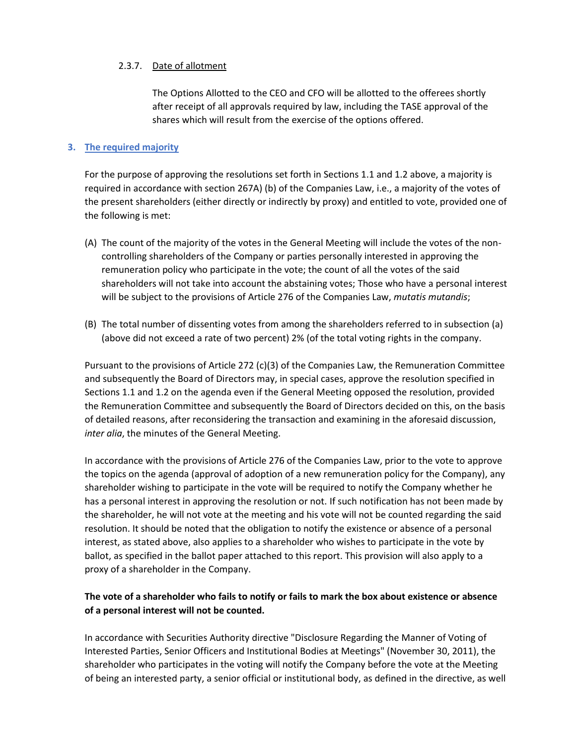#### 2.3.7. Date of allotment

The Options Allotted to the CEO and CFO will be allotted to the offerees shortly after receipt of all approvals required by law, including the TASE approval of the shares which will result from the exercise of the options offered.

## **3. The required majority**

For the purpose of approving the resolutions set forth in Sections 1.1 and 1.2 above, a majority is required in accordance with section 267A) (b) of the Companies Law, i.e., a majority of the votes of the present shareholders (either directly or indirectly by proxy) and entitled to vote, provided one of the following is met:

- (A) The count of the majority of the votes in the General Meeting will include the votes of the noncontrolling shareholders of the Company or parties personally interested in approving the remuneration policy who participate in the vote; the count of all the votes of the said shareholders will not take into account the abstaining votes; Those who have a personal interest will be subject to the provisions of Article 276 of the Companies Law, *mutatis mutandis*;
- (B) The total number of dissenting votes from among the shareholders referred to in subsection (a) (above did not exceed a rate of two percent) 2% (of the total voting rights in the company.

Pursuant to the provisions of Article 272 (c)(3) of the Companies Law, the Remuneration Committee and subsequently the Board of Directors may, in special cases, approve the resolution specified in Sections 1.1 and 1.2 on the agenda even if the General Meeting opposed the resolution, provided the Remuneration Committee and subsequently the Board of Directors decided on this, on the basis of detailed reasons, after reconsidering the transaction and examining in the aforesaid discussion, *inter alia*, the minutes of the General Meeting.

In accordance with the provisions of Article 276 of the Companies Law, prior to the vote to approve the topics on the agenda (approval of adoption of a new remuneration policy for the Company), any shareholder wishing to participate in the vote will be required to notify the Company whether he has a personal interest in approving the resolution or not. If such notification has not been made by the shareholder, he will not vote at the meeting and his vote will not be counted regarding the said resolution. It should be noted that the obligation to notify the existence or absence of a personal interest, as stated above, also applies to a shareholder who wishes to participate in the vote by ballot, as specified in the ballot paper attached to this report. This provision will also apply to a proxy of a shareholder in the Company.

## **The vote of a shareholder who fails to notify or fails to mark the box about existence or absence of a personal interest will not be counted.**

In accordance with Securities Authority directive "Disclosure Regarding the Manner of Voting of Interested Parties, Senior Officers and Institutional Bodies at Meetings" (November 30, 2011), the shareholder who participates in the voting will notify the Company before the vote at the Meeting of being an interested party, a senior official or institutional body, as defined in the directive, as well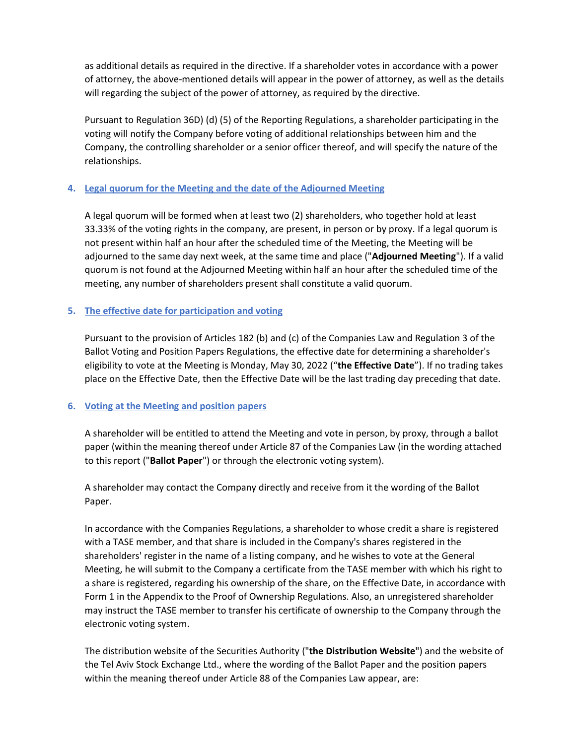as additional details as required in the directive. If a shareholder votes in accordance with a power of attorney, the above-mentioned details will appear in the power of attorney, as well as the details will regarding the subject of the power of attorney, as required by the directive.

Pursuant to Regulation 36D) (d) (5) of the Reporting Regulations, a shareholder participating in the voting will notify the Company before voting of additional relationships between him and the Company, the controlling shareholder or a senior officer thereof, and will specify the nature of the relationships.

## **4. Legal quorum for the Meeting and the date of the Adjourned Meeting**

A legal quorum will be formed when at least two (2) shareholders, who together hold at least 33.33% of the voting rights in the company, are present, in person or by proxy. If a legal quorum is not present within half an hour after the scheduled time of the Meeting, the Meeting will be adjourned to the same day next week, at the same time and place ("**Adjourned Meeting**"). If a valid quorum is not found at the Adjourned Meeting within half an hour after the scheduled time of the meeting, any number of shareholders present shall constitute a valid quorum.

## **5. The effective date for participation and voting**

Pursuant to the provision of Articles 182 (b) and (c) of the Companies Law and Regulation 3 of the Ballot Voting and Position Papers Regulations, the effective date for determining a shareholder's eligibility to vote at the Meeting is Monday, May 30, 2022 ("**the Effective Date**"). If no trading takes place on the Effective Date, then the Effective Date will be the last trading day preceding that date.

## **6. Voting at the Meeting and position papers**

A shareholder will be entitled to attend the Meeting and vote in person, by proxy, through a ballot paper (within the meaning thereof under Article 87 of the Companies Law (in the wording attached to this report ("**Ballot Paper**") or through the electronic voting system).

A shareholder may contact the Company directly and receive from it the wording of the Ballot Paper.

In accordance with the Companies Regulations, a shareholder to whose credit a share is registered with a TASE member, and that share is included in the Company's shares registered in the shareholders' register in the name of a listing company, and he wishes to vote at the General Meeting, he will submit to the Company a certificate from the TASE member with which his right to a share is registered, regarding his ownership of the share, on the Effective Date, in accordance with Form 1 in the Appendix to the Proof of Ownership Regulations. Also, an unregistered shareholder may instruct the TASE member to transfer his certificate of ownership to the Company through the electronic voting system.

The distribution website of the Securities Authority ("**the Distribution Website**") and the website of the Tel Aviv Stock Exchange Ltd., where the wording of the Ballot Paper and the position papers within the meaning thereof under Article 88 of the Companies Law appear, are: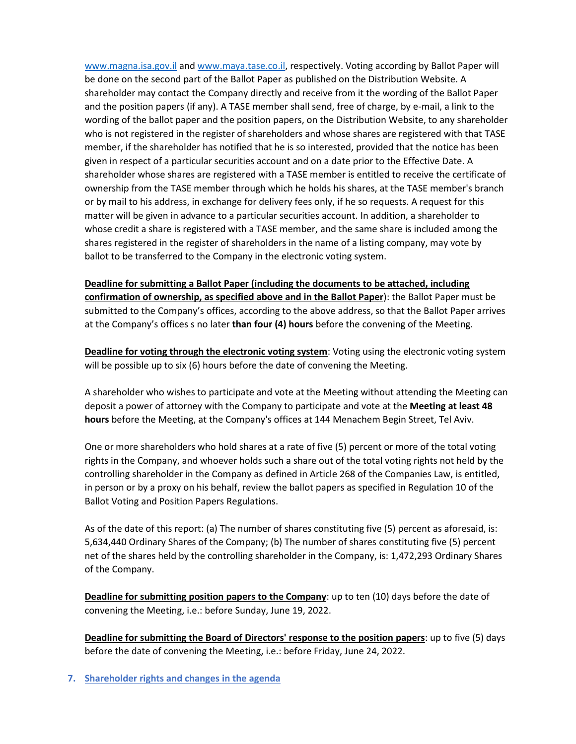[www.magna.isa.gov.il](http://www.magna.isa.gov.il/) and [www.maya.tase.co.il,](http://www.maya.tase.co.il/) respectively. Voting according by Ballot Paper will be done on the second part of the Ballot Paper as published on the Distribution Website. A shareholder may contact the Company directly and receive from it the wording of the Ballot Paper and the position papers (if any). A TASE member shall send, free of charge, by e-mail, a link to the wording of the ballot paper and the position papers, on the Distribution Website, to any shareholder who is not registered in the register of shareholders and whose shares are registered with that TASE member, if the shareholder has notified that he is so interested, provided that the notice has been given in respect of a particular securities account and on a date prior to the Effective Date. A shareholder whose shares are registered with a TASE member is entitled to receive the certificate of ownership from the TASE member through which he holds his shares, at the TASE member's branch or by mail to his address, in exchange for delivery fees only, if he so requests. A request for this matter will be given in advance to a particular securities account. In addition, a shareholder to whose credit a share is registered with a TASE member, and the same share is included among the shares registered in the register of shareholders in the name of a listing company, may vote by ballot to be transferred to the Company in the electronic voting system.

**Deadline for submitting a Ballot Paper (including the documents to be attached, including confirmation of ownership, as specified above and in the Ballot Paper**): the Ballot Paper must be submitted to the Company's offices, according to the above address, so that the Ballot Paper arrives at the Company's offices s no later **than four (4) hours** before the convening of the Meeting.

**Deadline for voting through the electronic voting system**: Voting using the electronic voting system will be possible up to six (6) hours before the date of convening the Meeting.

A shareholder who wishes to participate and vote at the Meeting without attending the Meeting can deposit a power of attorney with the Company to participate and vote at the **Meeting at least 48 hours** before the Meeting, at the Company's offices at 144 Menachem Begin Street, Tel Aviv.

One or more shareholders who hold shares at a rate of five (5) percent or more of the total voting rights in the Company, and whoever holds such a share out of the total voting rights not held by the controlling shareholder in the Company as defined in Article 268 of the Companies Law, is entitled, in person or by a proxy on his behalf, review the ballot papers as specified in Regulation 10 of the Ballot Voting and Position Papers Regulations.

As of the date of this report: (a) The number of shares constituting five (5) percent as aforesaid, is: 5,634,440 Ordinary Shares of the Company; (b) The number of shares constituting five (5) percent net of the shares held by the controlling shareholder in the Company, is: 1,472,293 Ordinary Shares of the Company.

**Deadline for submitting position papers to the Company**: up to ten (10) days before the date of convening the Meeting, i.e.: before Sunday, June 19, 2022.

**Deadline for submitting the Board of Directors' response to the position papers**: up to five (5) days before the date of convening the Meeting, i.e.: before Friday, June 24, 2022.

**7. Shareholder rights and changes in the agenda**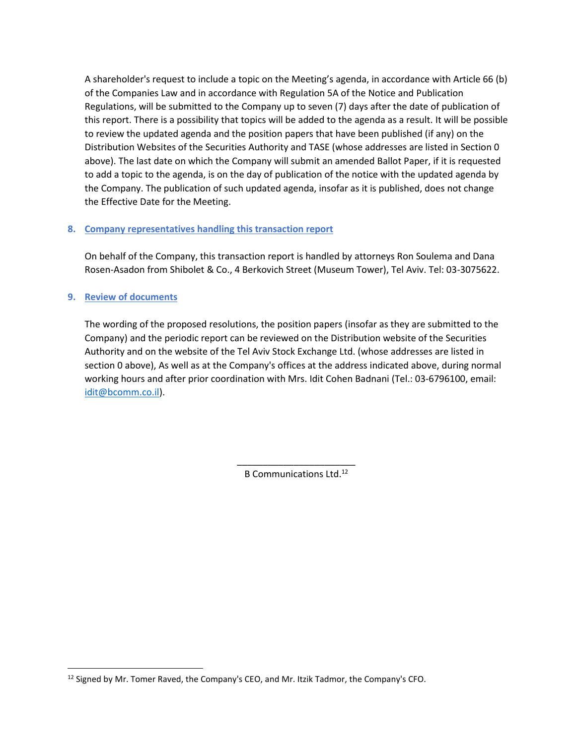A shareholder's request to include a topic on the Meeting's agenda, in accordance with Article 66 (b) of the Companies Law and in accordance with Regulation 5A of the Notice and Publication Regulations, will be submitted to the Company up to seven (7) days after the date of publication of this report. There is a possibility that topics will be added to the agenda as a result. It will be possible to review the updated agenda and the position papers that have been published (if any) on the Distribution Websites of the Securities Authority and TASE (whose addresses are listed in Section 0 above). The last date on which the Company will submit an amended Ballot Paper, if it is requested to add a topic to the agenda, is on the day of publication of the notice with the updated agenda by the Company. The publication of such updated agenda, insofar as it is published, does not change the Effective Date for the Meeting.

### **8. Company representatives handling this transaction report**

On behalf of the Company, this transaction report is handled by attorneys Ron Soulema and Dana Rosen-Asadon from Shibolet & Co., 4 Berkovich Street (Museum Tower), Tel Aviv. Tel: 03-3075622.

### **9. Review of documents**

The wording of the proposed resolutions, the position papers (insofar as they are submitted to the Company) and the periodic report can be reviewed on the Distribution website of the Securities Authority and on the website of the Tel Aviv Stock Exchange Ltd. (whose addresses are listed in section 0 above), As well as at the Company's offices at the address indicated above, during normal working hours and after prior coordination with Mrs. Idit Cohen Badnani (Tel.: 03-6796100, email: [idit@bcomm.co.il\)](mailto:idit@bcomm.co.il).

> \_\_\_\_\_\_\_\_\_\_\_\_\_\_\_\_\_\_\_\_\_\_\_ B Communications Ltd.<sup>12</sup>

 $12$  Signed by Mr. Tomer Raved, the Company's CEO, and Mr. Itzik Tadmor, the Company's CFO.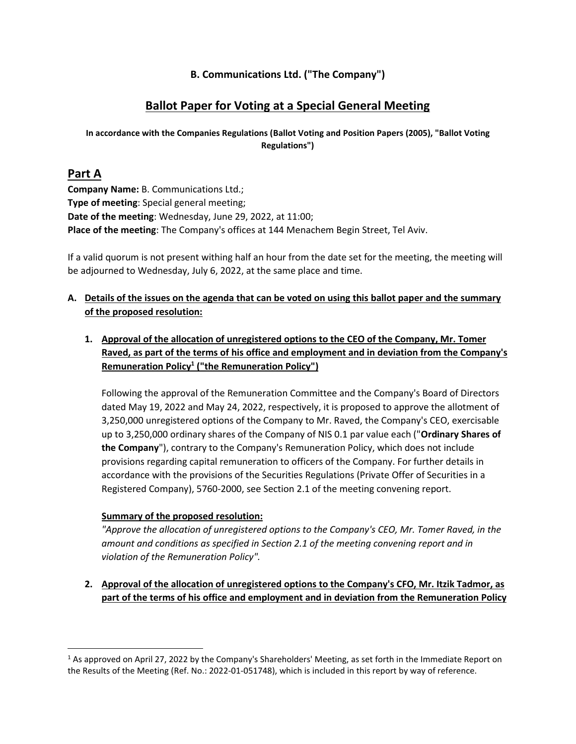# **B. Communications Ltd. ("The Company")**

# **Ballot Paper for Voting at a Special General Meeting**

## **In accordance with the Companies Regulations (Ballot Voting and Position Papers (2005), "Ballot Voting Regulations")**

# **Part A**

**Company Name:** B. Communications Ltd.; **Type of meeting**: Special general meeting; **Date of the meeting**: Wednesday, June 29, 2022, at 11:00; **Place of the meeting**: The Company's offices at 144 Menachem Begin Street, Tel Aviv.

If a valid quorum is not present withing half an hour from the date set for the meeting, the meeting will be adjourned to Wednesday, July 6, 2022, at the same place and time.

## **A. Details of the issues on the agenda that can be voted on using this ballot paper and the summary of the proposed resolution:**

**1. Approval of the allocation of unregistered options to the CEO of the Company, Mr. Tomer Raved, as part of the terms of his office and employment and in deviation from the Company's Remuneration Policy<sup>1</sup> ("the Remuneration Policy")**

Following the approval of the Remuneration Committee and the Company's Board of Directors dated May 19, 2022 and May 24, 2022, respectively, it is proposed to approve the allotment of 3,250,000 unregistered options of the Company to Mr. Raved, the Company's CEO, exercisable up to 3,250,000 ordinary shares of the Company of NIS 0.1 par value each ("**Ordinary Shares of the Company**"), contrary to the Company's Remuneration Policy, which does not include provisions regarding capital remuneration to officers of the Company. For further details in accordance with the provisions of the Securities Regulations (Private Offer of Securities in a Registered Company), 5760-2000, see Section 2.1 of the meeting convening report.

# **Summary of the proposed resolution:**

*"Approve the allocation of unregistered options to the Company's CEO, Mr. Tomer Raved, in the amount and conditions as specified in Section 2.1 of the meeting convening report and in violation of the Remuneration Policy".*

**2. Approval of the allocation of unregistered options to the Company's CFO, Mr. Itzik Tadmor, as part of the terms of his office and employment and in deviation from the Remuneration Policy**

 $1$  As approved on April 27, 2022 by the Company's Shareholders' Meeting, as set forth in the Immediate Report on the Results of the Meeting (Ref. No.: 2022-01-051748), which is included in this report by way of reference.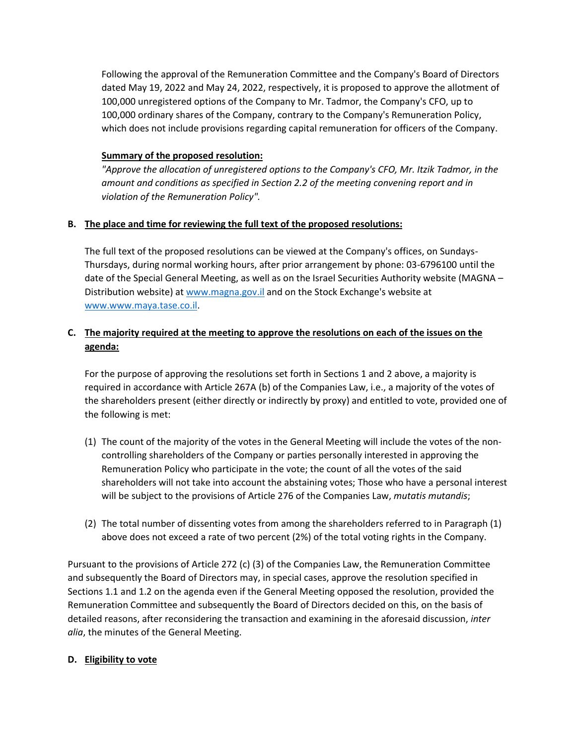Following the approval of the Remuneration Committee and the Company's Board of Directors dated May 19, 2022 and May 24, 2022, respectively, it is proposed to approve the allotment of 100,000 unregistered options of the Company to Mr. Tadmor, the Company's CFO, up to 100,000 ordinary shares of the Company, contrary to the Company's Remuneration Policy, which does not include provisions regarding capital remuneration for officers of the Company.

## **Summary of the proposed resolution:**

*"Approve the allocation of unregistered options to the Company's CFO, Mr. Itzik Tadmor, in the amount and conditions as specified in Section 2.2 of the meeting convening report and in violation of the Remuneration Policy".*

### **B. The place and time for reviewing the full text of the proposed resolutions:**

The full text of the proposed resolutions can be viewed at the Company's offices, on Sundays-Thursdays, during normal working hours, after prior arrangement by phone: 03-6796100 until the date of the Special General Meeting, as well as on the Israel Securities Authority website (MAGNA – Distribution website) at [www.magna.gov.il](http://www.magna.gov.il/) and on the Stock Exchange's website at [www.www.maya.tase.co.il.](http://www.www.maya.tase.co.il/)

# **C. The majority required at the meeting to approve the resolutions on each of the issues on the agenda:**

For the purpose of approving the resolutions set forth in Sections 1 and 2 above, a majority is required in accordance with Article 267A (b) of the Companies Law, i.e., a majority of the votes of the shareholders present (either directly or indirectly by proxy) and entitled to vote, provided one of the following is met:

- (1) The count of the majority of the votes in the General Meeting will include the votes of the noncontrolling shareholders of the Company or parties personally interested in approving the Remuneration Policy who participate in the vote; the count of all the votes of the said shareholders will not take into account the abstaining votes; Those who have a personal interest will be subject to the provisions of Article 276 of the Companies Law, *mutatis mutandis*;
- (2) The total number of dissenting votes from among the shareholders referred to in Paragraph (1) above does not exceed a rate of two percent (2%) of the total voting rights in the Company.

Pursuant to the provisions of Article 272 (c) (3) of the Companies Law, the Remuneration Committee and subsequently the Board of Directors may, in special cases, approve the resolution specified in Sections 1.1 and 1.2 on the agenda even if the General Meeting opposed the resolution, provided the Remuneration Committee and subsequently the Board of Directors decided on this, on the basis of detailed reasons, after reconsidering the transaction and examining in the aforesaid discussion, *inter alia*, the minutes of the General Meeting.

#### **D. Eligibility to vote**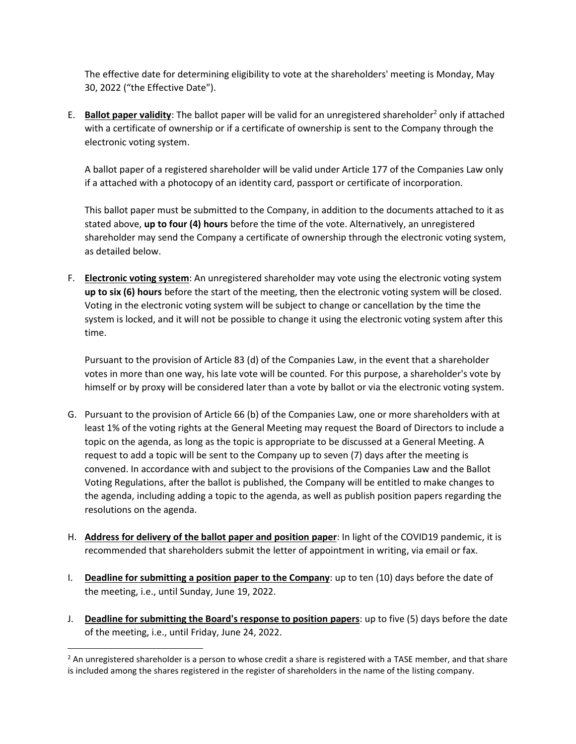The effective date for determining eligibility to vote at the shareholders' meeting is Monday, May 30, 2022 ("the Effective Date").

E. **Ballot paper validity**: The ballot paper will be valid for an unregistered shareholder<sup>2</sup> only if attached with a certificate of ownership or if a certificate of ownership is sent to the Company through the electronic voting system.

A ballot paper of a registered shareholder will be valid under Article 177 of the Companies Law only if a attached with a photocopy of an identity card, passport or certificate of incorporation.

This ballot paper must be submitted to the Company, in addition to the documents attached to it as stated above, **up to four (4) hours** before the time of the vote. Alternatively, an unregistered shareholder may send the Company a certificate of ownership through the electronic voting system, as detailed below.

F. **Electronic voting system**: An unregistered shareholder may vote using the electronic voting system **up to six (6) hours** before the start of the meeting, then the electronic voting system will be closed. Voting in the electronic voting system will be subject to change or cancellation by the time the system is locked, and it will not be possible to change it using the electronic voting system after this time.

Pursuant to the provision of Article 83 (d) of the Companies Law, in the event that a shareholder votes in more than one way, his late vote will be counted. For this purpose, a shareholder's vote by himself or by proxy will be considered later than a vote by ballot or via the electronic voting system.

- G. Pursuant to the provision of Article 66 (b) of the Companies Law, one or more shareholders with at least 1% of the voting rights at the General Meeting may request the Board of Directors to include a topic on the agenda, as long as the topic is appropriate to be discussed at a General Meeting. A request to add a topic will be sent to the Company up to seven (7) days after the meeting is convened. In accordance with and subject to the provisions of the Companies Law and the Ballot Voting Regulations, after the ballot is published, the Company will be entitled to make changes to the agenda, including adding a topic to the agenda, as well as publish position papers regarding the resolutions on the agenda.
- H. **Address for delivery of the ballot paper and position paper**: In light of the COVID19 pandemic, it is recommended that shareholders submit the letter of appointment in writing, via email or fax.
- I. **Deadline for submitting a position paper to the Company**: up to ten (10) days before the date of the meeting, i.e., until Sunday, June 19, 2022.
- J. **Deadline for submitting the Board's response to position papers**: up to five (5) days before the date of the meeting, i.e., until Friday, June 24, 2022.

 $<sup>2</sup>$  An unregistered shareholder is a person to whose credit a share is registered with a TASE member, and that share</sup> is included among the shares registered in the register of shareholders in the name of the listing company.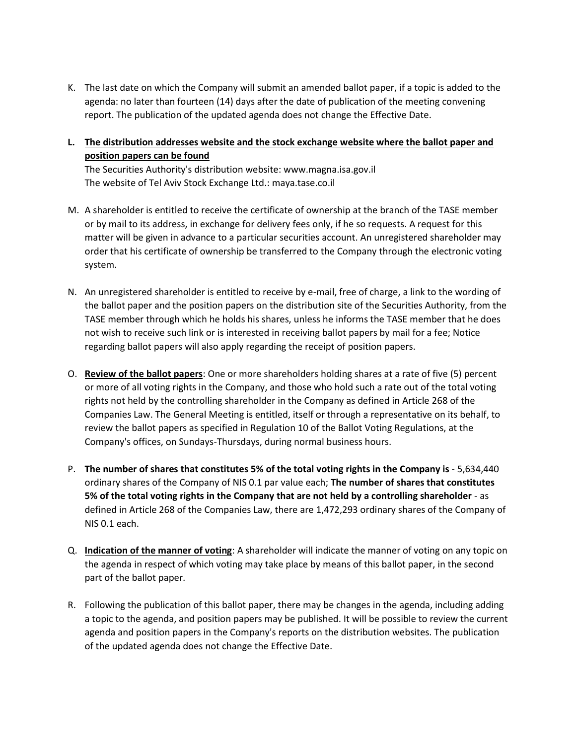- K. The last date on which the Company will submit an amended ballot paper, if a topic is added to the agenda: no later than fourteen (14) days after the date of publication of the meeting convening report. The publication of the updated agenda does not change the Effective Date.
- **L. The distribution addresses website and the stock exchange website where the ballot paper and position papers can be found**

The Securities Authority's distribution website: www.magna.isa.gov.il The website of Tel Aviv Stock Exchange Ltd.: maya.tase.co.il

- M. A shareholder is entitled to receive the certificate of ownership at the branch of the TASE member or by mail to its address, in exchange for delivery fees only, if he so requests. A request for this matter will be given in advance to a particular securities account. An unregistered shareholder may order that his certificate of ownership be transferred to the Company through the electronic voting system.
- N. An unregistered shareholder is entitled to receive by e-mail, free of charge, a link to the wording of the ballot paper and the position papers on the distribution site of the Securities Authority, from the TASE member through which he holds his shares, unless he informs the TASE member that he does not wish to receive such link or is interested in receiving ballot papers by mail for a fee; Notice regarding ballot papers will also apply regarding the receipt of position papers.
- O. **Review of the ballot papers**: One or more shareholders holding shares at a rate of five (5) percent or more of all voting rights in the Company, and those who hold such a rate out of the total voting rights not held by the controlling shareholder in the Company as defined in Article 268 of the Companies Law. The General Meeting is entitled, itself or through a representative on its behalf, to review the ballot papers as specified in Regulation 10 of the Ballot Voting Regulations, at the Company's offices, on Sundays-Thursdays, during normal business hours.
- P. **The number of shares that constitutes 5% of the total voting rights in the Company is**  5,634,440 ordinary shares of the Company of NIS 0.1 par value each; **The number of shares that constitutes 5% of the total voting rights in the Company that are not held by a controlling shareholder** - as defined in Article 268 of the Companies Law, there are 1,472,293 ordinary shares of the Company of NIS 0.1 each.
- Q. **Indication of the manner of voting**: A shareholder will indicate the manner of voting on any topic on the agenda in respect of which voting may take place by means of this ballot paper, in the second part of the ballot paper.
- R. Following the publication of this ballot paper, there may be changes in the agenda, including adding a topic to the agenda, and position papers may be published. It will be possible to review the current agenda and position papers in the Company's reports on the distribution websites. The publication of the updated agenda does not change the Effective Date.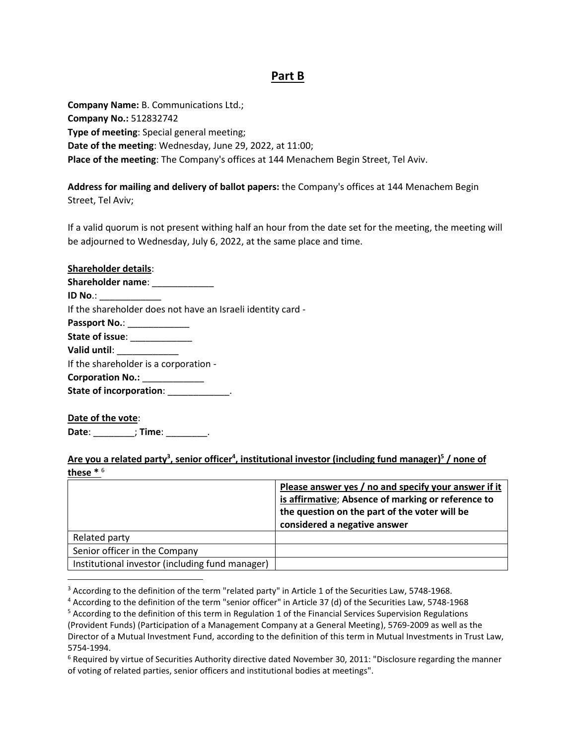# **Part B**

**Company Name:** B. Communications Ltd.; **Company No.:** 512832742 **Type of meeting**: Special general meeting; **Date of the meeting**: Wednesday, June 29, 2022, at 11:00; **Place of the meeting**: The Company's offices at 144 Menachem Begin Street, Tel Aviv.

**Address for mailing and delivery of ballot papers:** the Company's offices at 144 Menachem Begin Street, Tel Aviv;

If a valid quorum is not present withing half an hour from the date set for the meeting, the meeting will be adjourned to Wednesday, July 6, 2022, at the same place and time.

| <b>Shareholder details:</b>                                 |
|-------------------------------------------------------------|
| Shareholder name: _____________                             |
| ID No.: _____________                                       |
| If the shareholder does not have an Israeli identity card - |
| Passport No.: ______________                                |
| State of issue: ______________                              |
| Valid until: Valid Unit                                     |
| If the shareholder is a corporation -                       |
| Corporation No.: ____________                               |
| State of incorporation: Nation Assembly                     |
|                                                             |

**Date of the vote**: **Date**: \_\_\_\_\_\_\_\_; **Time**: \_\_\_\_\_\_\_\_.

## **Are you a related party<sup>3</sup> , senior officer<sup>4</sup> , institutional investor (including fund manager) 5 / none of these \*** 6

|                                                 | Please answer yes / no and specify your answer if it<br>is affirmative; Absence of marking or reference to<br>the question on the part of the voter will be<br>considered a negative answer |
|-------------------------------------------------|---------------------------------------------------------------------------------------------------------------------------------------------------------------------------------------------|
| Related party                                   |                                                                                                                                                                                             |
| Senior officer in the Company                   |                                                                                                                                                                                             |
| Institutional investor (including fund manager) |                                                                                                                                                                                             |

<sup>&</sup>lt;sup>3</sup> According to the definition of the term "related party" in Article 1 of the Securities Law, 5748-1968.

<sup>4</sup> According to the definition of the term "senior officer" in Article 37 (d) of the Securities Law, 5748-1968

<sup>5</sup> According to the definition of this term in Regulation 1 of the Financial Services Supervision Regulations (Provident Funds) (Participation of a Management Company at a General Meeting), 5769-2009 as well as the Director of a Mutual Investment Fund, according to the definition of this term in Mutual Investments in Trust Law, 5754-1994.

 $6$  Required by virtue of Securities Authority directive dated November 30, 2011: "Disclosure regarding the manner of voting of related parties, senior officers and institutional bodies at meetings".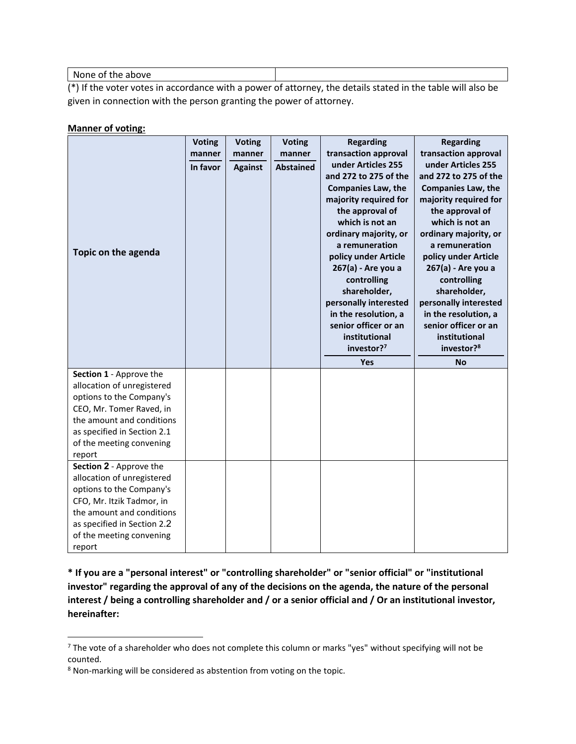None of the above

(\*) If the voter votes in accordance with a power of attorney, the details stated in the table will also be given in connection with the person granting the power of attorney.

#### **Manner of voting:**

|                                                         | <b>Voting</b> | <b>Voting</b>  | <b>Voting</b>    | <b>Regarding</b>                        | <b>Regarding</b>                        |
|---------------------------------------------------------|---------------|----------------|------------------|-----------------------------------------|-----------------------------------------|
|                                                         | manner        | manner         | manner           | transaction approval                    | transaction approval                    |
|                                                         | In favor      | <b>Against</b> | <b>Abstained</b> | under Articles 255                      | under Articles 255                      |
|                                                         |               |                |                  | and 272 to 275 of the                   | and 272 to 275 of the                   |
|                                                         |               |                |                  | <b>Companies Law, the</b>               | <b>Companies Law, the</b>               |
|                                                         |               |                |                  | majority required for                   | majority required for                   |
|                                                         |               |                |                  | the approval of                         | the approval of                         |
|                                                         |               |                |                  | which is not an                         | which is not an                         |
|                                                         |               |                |                  | ordinary majority, or<br>a remuneration | ordinary majority, or<br>a remuneration |
| Topic on the agenda                                     |               |                |                  | policy under Article                    | policy under Article                    |
|                                                         |               |                |                  | 267(a) - Are you a                      | 267(a) - Are you a                      |
|                                                         |               |                |                  | controlling                             | controlling                             |
|                                                         |               |                |                  | shareholder,                            | shareholder,                            |
|                                                         |               |                |                  | personally interested                   | personally interested                   |
|                                                         |               |                |                  | in the resolution, a                    | in the resolution, a                    |
|                                                         |               |                |                  | senior officer or an                    | senior officer or an                    |
|                                                         |               |                |                  | institutional                           | institutional                           |
|                                                         |               |                |                  | investor? <sup>7</sup>                  | investor? <sup>8</sup>                  |
|                                                         |               |                |                  | <b>Yes</b>                              | <b>No</b>                               |
| Section 1 - Approve the                                 |               |                |                  |                                         |                                         |
| allocation of unregistered                              |               |                |                  |                                         |                                         |
| options to the Company's                                |               |                |                  |                                         |                                         |
| CEO, Mr. Tomer Raved, in                                |               |                |                  |                                         |                                         |
| the amount and conditions                               |               |                |                  |                                         |                                         |
| as specified in Section 2.1<br>of the meeting convening |               |                |                  |                                         |                                         |
| report                                                  |               |                |                  |                                         |                                         |
| Section 2 - Approve the                                 |               |                |                  |                                         |                                         |
| allocation of unregistered                              |               |                |                  |                                         |                                         |
| options to the Company's                                |               |                |                  |                                         |                                         |
| CFO, Mr. Itzik Tadmor, in                               |               |                |                  |                                         |                                         |
|                                                         |               |                |                  |                                         |                                         |
| the amount and conditions                               |               |                |                  |                                         |                                         |
| as specified in Section 2.2                             |               |                |                  |                                         |                                         |
| of the meeting convening                                |               |                |                  |                                         |                                         |

**\* If you are a "personal interest" or "controlling shareholder" or "senior official" or "institutional investor" regarding the approval of any of the decisions on the agenda, the nature of the personal interest / being a controlling shareholder and / or a senior official and / Or an institutional investor, hereinafter:**

<sup>&</sup>lt;sup>7</sup> The vote of a shareholder who does not complete this column or marks "yes" without specifying will not be counted.

<sup>8</sup> Non-marking will be considered as abstention from voting on the topic.